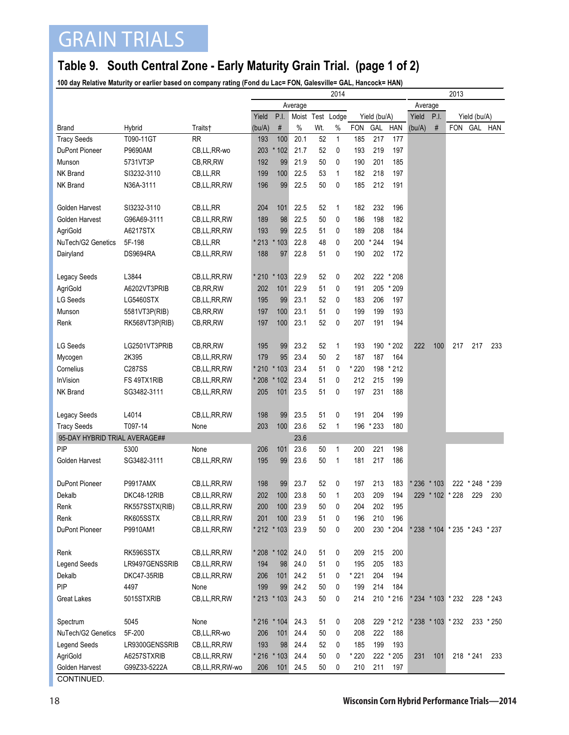## GRAIN TRIALS

## **Table 9. South Central Zone - Early Maturity Grain Trial. (page 1 of 2)**

**100 day Relative Maturity or earlier based on company rating (Fond du Lac= FON, Galesville= GAL, Hancock= HAN)**

| Average<br>Average<br>P.I.<br>Yield<br>Moist Test Lodge<br>Yield (bu/A)<br>Yield<br>P.I.<br>Yield (bu/A)<br>$\#$<br>$\%$<br>$\%$<br>$\#$<br>FON GAL HAN<br>Traits†<br>(bu/A)<br>Wt.<br><b>FON</b><br>GAL<br>HAN<br>(bu/A)<br><b>Brand</b><br>Hybrid<br>T090-11GT<br>193<br>100<br>20.1<br>52<br>217<br><b>Tracy Seeds</b><br><b>RR</b><br>185<br>177<br>$\mathbf{1}$<br>21.7<br>52<br>193<br>219<br>DuPont Pioneer<br>P9690AM<br>CB,LL,RR-wo<br>203<br>$*102$<br>0<br>197<br>201<br>185<br>5731VT3P<br>192<br>99<br>21.9<br>50<br>0<br>190<br>Munson<br>CB, RR, RW<br>NK Brand<br>199<br>22.5<br>53<br>$\mathbf{1}$<br>182<br>218<br>197<br>SI3232-3110<br>CB,LL,RR<br>100<br>196<br>50<br>212<br>NK Brand<br>N36A-3111<br>99<br>22.5<br>0<br>185<br>191<br>CB,LL,RR,RW<br>204<br>52<br>182<br>232<br>196<br>Golden Harvest<br>SI3232-3110<br>CB,LL,RR<br>101<br>22.5<br>1<br>Golden Harvest<br>G96A69-3111<br>189<br>98<br>22.5<br>50<br>0<br>186<br>198<br>182<br>CB,LL,RR,RW<br>AgriGold<br>A6217STX<br>193<br>99<br>22.5<br>51<br>189<br>208<br>184<br>CB,LL,RR,RW<br>0<br>$*244$<br>NuTech/G2 Genetics<br>5F-198<br>$*213$<br>$*103$<br>22.8<br>48<br>0<br>200<br>194<br>CB, LL, RR<br>188<br>51<br>190<br><b>DS9694RA</b><br>97<br>22.8<br>0<br>202<br>172<br>Dairyland<br>CB, LL, RR, RW<br>L3844<br>* 210 * 103<br>22.9<br>52<br>0<br>202<br>222 * 208<br>Legacy Seeds<br>CB, LL, RR, RW<br>AgriGold<br>202<br>101<br>22.9<br>51<br>0<br>191<br>205<br>* 209<br>A6202VT3PRIB<br>CB, RR, RW<br><b>LG Seeds</b><br>195<br>99<br>23.1<br>52<br>0<br>183<br>206<br>197<br>LG5460STX<br>CB,LL,RR,RW<br>197<br>100<br>23.1<br>51<br>0<br>199<br>199<br>193<br>Munson<br>5581VT3P(RIB)<br>CB, RR, RW<br>197<br>23.1<br>52<br>191<br>194<br>Renk<br>100<br>0<br>207<br>RK568VT3P(RIB)<br>CB, RR, RW<br><b>LG Seeds</b><br>LG2501VT3PRIB<br>195<br>23.2<br>52<br>193<br>190 * 202<br>222<br>100<br>217<br>217<br>233<br>CB, RR, RW<br>99<br>1<br>2K395<br>179<br>95<br>23.4<br>50<br>2<br>187<br>187<br>164<br>Mycogen<br>CB,LL,RR,RW<br>Cornelius<br>C287SS<br>$*210$<br>$*103$<br>23.4<br>51<br>0<br>* 220<br>198<br>$*212$<br>CB,LL,RR,RW<br>InVision<br>* 208<br>23.4<br>212<br>215<br>199<br>FS 49TX1RIB<br>51<br>0<br>CB,LL,RR,RW<br>$*102$<br>NK Brand<br>205<br>101<br>23.5<br>51<br>0<br>197<br>231<br>188<br>SG3482-3111<br>CB,LL,RR,RW<br>L4014<br>204<br>199<br>CB,LL,RR,RW<br>198<br>99<br>23.5<br>51<br>0<br>191<br>Legacy Seeds<br>203<br>$*233$<br><b>Tracy Seeds</b><br>T097-14<br>100<br>23.6<br>52<br>196<br>180<br>1<br>None<br>95-DAY HYBRID TRIAL AVERAGE##<br>23.6<br>PIP<br>23.6<br>206<br>101<br>50<br>$\mathbf{1}$<br>200<br>221<br>198<br>5300<br>None<br>Golden Harvest<br>SG3482-3111<br>195<br>99<br>23.6<br>50<br>$\mathbf{1}$<br>181<br>217<br>186<br>CB,LL,RR,RW<br>DuPont Pioneer<br><b>P9917AMX</b><br>23.7<br>0<br>CB,LL,RR,RW<br>198<br>99<br>52<br>197<br>213<br>183<br>* 236<br>$*103$<br>222 * 248<br>* 239<br>202<br>100<br>23.8<br>50<br>203<br>209<br>194<br>229 * 102<br>* 228<br>229<br>230<br>Dekalb<br>DKC48-12RIB<br>CB,LL,RR,RW<br>1<br>200<br>23.9<br>50<br>202<br>RK557SSTX(RIB)<br>CB,LL,RR,RW<br>0<br>204<br>195<br>Renk<br>100<br>RK605SSTX<br>201<br>100<br>23.9<br>51<br>0<br>196<br>210<br>196<br>Renk<br>CB,LL,RR,RW<br>23.9<br>200<br>230 * 204<br>DuPont Pioneer<br>P9910AM1<br>* 212 * 103<br>50<br>0<br>CB,LL,RR,RW<br>* 238 * 104 * 235 * 243 * 237<br>RK596SSTX<br>* 208 * 102<br>24.0<br>51<br>0<br>209<br>215<br>200<br>Renk<br>CB,LL,RR,RW<br>LR9497GENSSRIB<br>194<br>24.0<br>51<br>0<br>195<br>205<br>183<br><b>Legend Seeds</b><br>CB,LL,RR,RW<br>98<br>Dekalb<br>206<br>24.2<br>51<br>0<br>* 221<br>204<br>194<br>DKC47-35RIB<br>CB,LL,RR,RW<br>101<br>PIP<br>199<br>214<br>4497<br>None<br>99<br>24.2<br>50<br>0<br>199<br>184<br>50<br>214<br>210 * 216<br>5015STXRIB<br>CB,LL,RR,RW<br>* 213 * 103<br>24.3<br>0<br>* 234 * 103 * 232<br>228 * 243<br>Great Lakes<br>None<br>Spectrum<br>5045<br>* 216 * 104<br>24.3<br>51<br>0<br>208<br>229 * 212<br>* 238 * 103 * 232<br>$233 * 250$<br>222<br>NuTech/G2 Genetics<br>5F-200<br>206<br>24.4<br>50<br>0<br>208<br>188<br>CB,LL,RR-wo<br>101<br>193<br>24.4<br>52<br>0<br>185<br>199<br>Legend Seeds<br>LR9300GENSSRIB<br>98<br>193<br>CB,LL,RR,RW<br>AgriGold<br>$*216$<br>$*103$<br>24.4<br>50<br>0<br>* 220<br>222 * 205<br>A6257STXRIB<br>CB,LL,RR,RW<br>231<br>101<br>218 * 241<br>233<br>Golden Harvest<br>G99Z33-5222A<br>101 24.5<br>0<br>211<br>CB,LL,RR,RW-wo<br>206<br>50<br>210<br>197 |  | 2014 |  |  |  |  |  |  |  | 2013 |  |  |  |  |
|----------------------------------------------------------------------------------------------------------------------------------------------------------------------------------------------------------------------------------------------------------------------------------------------------------------------------------------------------------------------------------------------------------------------------------------------------------------------------------------------------------------------------------------------------------------------------------------------------------------------------------------------------------------------------------------------------------------------------------------------------------------------------------------------------------------------------------------------------------------------------------------------------------------------------------------------------------------------------------------------------------------------------------------------------------------------------------------------------------------------------------------------------------------------------------------------------------------------------------------------------------------------------------------------------------------------------------------------------------------------------------------------------------------------------------------------------------------------------------------------------------------------------------------------------------------------------------------------------------------------------------------------------------------------------------------------------------------------------------------------------------------------------------------------------------------------------------------------------------------------------------------------------------------------------------------------------------------------------------------------------------------------------------------------------------------------------------------------------------------------------------------------------------------------------------------------------------------------------------------------------------------------------------------------------------------------------------------------------------------------------------------------------------------------------------------------------------------------------------------------------------------------------------------------------------------------------------------------------------------------------------------------------------------------------------------------------------------------------------------------------------------------------------------------------------------------------------------------------------------------------------------------------------------------------------------------------------------------------------------------------------------------------------------------------------------------------------------------------------------------------------------------------------------------------------------------------------------------------------------------------------------------------------------------------------------------------------------------------------------------------------------------------------------------------------------------------------------------------------------------------------------------------------------------------------------------------------------------------------------------------------------------------------------------------------------------------------------------------------------------------------------------------------------------------------------------------------------------------------------------------------------------------------------------------------------------------------------------------------------------------------------------------------------------------------------------------------------------------------------------------------------------------------------------------------------------------------------------------------------------------------------------------------------------------------------------------------------------------------------------------------------------------------------------------------------------------------------------------------------------------------------------------|--|------|--|--|--|--|--|--|--|------|--|--|--|--|
|                                                                                                                                                                                                                                                                                                                                                                                                                                                                                                                                                                                                                                                                                                                                                                                                                                                                                                                                                                                                                                                                                                                                                                                                                                                                                                                                                                                                                                                                                                                                                                                                                                                                                                                                                                                                                                                                                                                                                                                                                                                                                                                                                                                                                                                                                                                                                                                                                                                                                                                                                                                                                                                                                                                                                                                                                                                                                                                                                                                                                                                                                                                                                                                                                                                                                                                                                                                                                                                                                                                                                                                                                                                                                                                                                                                                                                                                                                                                                                                                                                                                                                                                                                                                                                                                                                                                                                                                                                                                                                                            |  |      |  |  |  |  |  |  |  |      |  |  |  |  |
|                                                                                                                                                                                                                                                                                                                                                                                                                                                                                                                                                                                                                                                                                                                                                                                                                                                                                                                                                                                                                                                                                                                                                                                                                                                                                                                                                                                                                                                                                                                                                                                                                                                                                                                                                                                                                                                                                                                                                                                                                                                                                                                                                                                                                                                                                                                                                                                                                                                                                                                                                                                                                                                                                                                                                                                                                                                                                                                                                                                                                                                                                                                                                                                                                                                                                                                                                                                                                                                                                                                                                                                                                                                                                                                                                                                                                                                                                                                                                                                                                                                                                                                                                                                                                                                                                                                                                                                                                                                                                                                            |  |      |  |  |  |  |  |  |  |      |  |  |  |  |
|                                                                                                                                                                                                                                                                                                                                                                                                                                                                                                                                                                                                                                                                                                                                                                                                                                                                                                                                                                                                                                                                                                                                                                                                                                                                                                                                                                                                                                                                                                                                                                                                                                                                                                                                                                                                                                                                                                                                                                                                                                                                                                                                                                                                                                                                                                                                                                                                                                                                                                                                                                                                                                                                                                                                                                                                                                                                                                                                                                                                                                                                                                                                                                                                                                                                                                                                                                                                                                                                                                                                                                                                                                                                                                                                                                                                                                                                                                                                                                                                                                                                                                                                                                                                                                                                                                                                                                                                                                                                                                                            |  |      |  |  |  |  |  |  |  |      |  |  |  |  |
|                                                                                                                                                                                                                                                                                                                                                                                                                                                                                                                                                                                                                                                                                                                                                                                                                                                                                                                                                                                                                                                                                                                                                                                                                                                                                                                                                                                                                                                                                                                                                                                                                                                                                                                                                                                                                                                                                                                                                                                                                                                                                                                                                                                                                                                                                                                                                                                                                                                                                                                                                                                                                                                                                                                                                                                                                                                                                                                                                                                                                                                                                                                                                                                                                                                                                                                                                                                                                                                                                                                                                                                                                                                                                                                                                                                                                                                                                                                                                                                                                                                                                                                                                                                                                                                                                                                                                                                                                                                                                                                            |  |      |  |  |  |  |  |  |  |      |  |  |  |  |
|                                                                                                                                                                                                                                                                                                                                                                                                                                                                                                                                                                                                                                                                                                                                                                                                                                                                                                                                                                                                                                                                                                                                                                                                                                                                                                                                                                                                                                                                                                                                                                                                                                                                                                                                                                                                                                                                                                                                                                                                                                                                                                                                                                                                                                                                                                                                                                                                                                                                                                                                                                                                                                                                                                                                                                                                                                                                                                                                                                                                                                                                                                                                                                                                                                                                                                                                                                                                                                                                                                                                                                                                                                                                                                                                                                                                                                                                                                                                                                                                                                                                                                                                                                                                                                                                                                                                                                                                                                                                                                                            |  |      |  |  |  |  |  |  |  |      |  |  |  |  |
|                                                                                                                                                                                                                                                                                                                                                                                                                                                                                                                                                                                                                                                                                                                                                                                                                                                                                                                                                                                                                                                                                                                                                                                                                                                                                                                                                                                                                                                                                                                                                                                                                                                                                                                                                                                                                                                                                                                                                                                                                                                                                                                                                                                                                                                                                                                                                                                                                                                                                                                                                                                                                                                                                                                                                                                                                                                                                                                                                                                                                                                                                                                                                                                                                                                                                                                                                                                                                                                                                                                                                                                                                                                                                                                                                                                                                                                                                                                                                                                                                                                                                                                                                                                                                                                                                                                                                                                                                                                                                                                            |  |      |  |  |  |  |  |  |  |      |  |  |  |  |
|                                                                                                                                                                                                                                                                                                                                                                                                                                                                                                                                                                                                                                                                                                                                                                                                                                                                                                                                                                                                                                                                                                                                                                                                                                                                                                                                                                                                                                                                                                                                                                                                                                                                                                                                                                                                                                                                                                                                                                                                                                                                                                                                                                                                                                                                                                                                                                                                                                                                                                                                                                                                                                                                                                                                                                                                                                                                                                                                                                                                                                                                                                                                                                                                                                                                                                                                                                                                                                                                                                                                                                                                                                                                                                                                                                                                                                                                                                                                                                                                                                                                                                                                                                                                                                                                                                                                                                                                                                                                                                                            |  |      |  |  |  |  |  |  |  |      |  |  |  |  |
|                                                                                                                                                                                                                                                                                                                                                                                                                                                                                                                                                                                                                                                                                                                                                                                                                                                                                                                                                                                                                                                                                                                                                                                                                                                                                                                                                                                                                                                                                                                                                                                                                                                                                                                                                                                                                                                                                                                                                                                                                                                                                                                                                                                                                                                                                                                                                                                                                                                                                                                                                                                                                                                                                                                                                                                                                                                                                                                                                                                                                                                                                                                                                                                                                                                                                                                                                                                                                                                                                                                                                                                                                                                                                                                                                                                                                                                                                                                                                                                                                                                                                                                                                                                                                                                                                                                                                                                                                                                                                                                            |  |      |  |  |  |  |  |  |  |      |  |  |  |  |
|                                                                                                                                                                                                                                                                                                                                                                                                                                                                                                                                                                                                                                                                                                                                                                                                                                                                                                                                                                                                                                                                                                                                                                                                                                                                                                                                                                                                                                                                                                                                                                                                                                                                                                                                                                                                                                                                                                                                                                                                                                                                                                                                                                                                                                                                                                                                                                                                                                                                                                                                                                                                                                                                                                                                                                                                                                                                                                                                                                                                                                                                                                                                                                                                                                                                                                                                                                                                                                                                                                                                                                                                                                                                                                                                                                                                                                                                                                                                                                                                                                                                                                                                                                                                                                                                                                                                                                                                                                                                                                                            |  |      |  |  |  |  |  |  |  |      |  |  |  |  |
|                                                                                                                                                                                                                                                                                                                                                                                                                                                                                                                                                                                                                                                                                                                                                                                                                                                                                                                                                                                                                                                                                                                                                                                                                                                                                                                                                                                                                                                                                                                                                                                                                                                                                                                                                                                                                                                                                                                                                                                                                                                                                                                                                                                                                                                                                                                                                                                                                                                                                                                                                                                                                                                                                                                                                                                                                                                                                                                                                                                                                                                                                                                                                                                                                                                                                                                                                                                                                                                                                                                                                                                                                                                                                                                                                                                                                                                                                                                                                                                                                                                                                                                                                                                                                                                                                                                                                                                                                                                                                                                            |  |      |  |  |  |  |  |  |  |      |  |  |  |  |
|                                                                                                                                                                                                                                                                                                                                                                                                                                                                                                                                                                                                                                                                                                                                                                                                                                                                                                                                                                                                                                                                                                                                                                                                                                                                                                                                                                                                                                                                                                                                                                                                                                                                                                                                                                                                                                                                                                                                                                                                                                                                                                                                                                                                                                                                                                                                                                                                                                                                                                                                                                                                                                                                                                                                                                                                                                                                                                                                                                                                                                                                                                                                                                                                                                                                                                                                                                                                                                                                                                                                                                                                                                                                                                                                                                                                                                                                                                                                                                                                                                                                                                                                                                                                                                                                                                                                                                                                                                                                                                                            |  |      |  |  |  |  |  |  |  |      |  |  |  |  |
|                                                                                                                                                                                                                                                                                                                                                                                                                                                                                                                                                                                                                                                                                                                                                                                                                                                                                                                                                                                                                                                                                                                                                                                                                                                                                                                                                                                                                                                                                                                                                                                                                                                                                                                                                                                                                                                                                                                                                                                                                                                                                                                                                                                                                                                                                                                                                                                                                                                                                                                                                                                                                                                                                                                                                                                                                                                                                                                                                                                                                                                                                                                                                                                                                                                                                                                                                                                                                                                                                                                                                                                                                                                                                                                                                                                                                                                                                                                                                                                                                                                                                                                                                                                                                                                                                                                                                                                                                                                                                                                            |  |      |  |  |  |  |  |  |  |      |  |  |  |  |
|                                                                                                                                                                                                                                                                                                                                                                                                                                                                                                                                                                                                                                                                                                                                                                                                                                                                                                                                                                                                                                                                                                                                                                                                                                                                                                                                                                                                                                                                                                                                                                                                                                                                                                                                                                                                                                                                                                                                                                                                                                                                                                                                                                                                                                                                                                                                                                                                                                                                                                                                                                                                                                                                                                                                                                                                                                                                                                                                                                                                                                                                                                                                                                                                                                                                                                                                                                                                                                                                                                                                                                                                                                                                                                                                                                                                                                                                                                                                                                                                                                                                                                                                                                                                                                                                                                                                                                                                                                                                                                                            |  |      |  |  |  |  |  |  |  |      |  |  |  |  |
|                                                                                                                                                                                                                                                                                                                                                                                                                                                                                                                                                                                                                                                                                                                                                                                                                                                                                                                                                                                                                                                                                                                                                                                                                                                                                                                                                                                                                                                                                                                                                                                                                                                                                                                                                                                                                                                                                                                                                                                                                                                                                                                                                                                                                                                                                                                                                                                                                                                                                                                                                                                                                                                                                                                                                                                                                                                                                                                                                                                                                                                                                                                                                                                                                                                                                                                                                                                                                                                                                                                                                                                                                                                                                                                                                                                                                                                                                                                                                                                                                                                                                                                                                                                                                                                                                                                                                                                                                                                                                                                            |  |      |  |  |  |  |  |  |  |      |  |  |  |  |
|                                                                                                                                                                                                                                                                                                                                                                                                                                                                                                                                                                                                                                                                                                                                                                                                                                                                                                                                                                                                                                                                                                                                                                                                                                                                                                                                                                                                                                                                                                                                                                                                                                                                                                                                                                                                                                                                                                                                                                                                                                                                                                                                                                                                                                                                                                                                                                                                                                                                                                                                                                                                                                                                                                                                                                                                                                                                                                                                                                                                                                                                                                                                                                                                                                                                                                                                                                                                                                                                                                                                                                                                                                                                                                                                                                                                                                                                                                                                                                                                                                                                                                                                                                                                                                                                                                                                                                                                                                                                                                                            |  |      |  |  |  |  |  |  |  |      |  |  |  |  |
|                                                                                                                                                                                                                                                                                                                                                                                                                                                                                                                                                                                                                                                                                                                                                                                                                                                                                                                                                                                                                                                                                                                                                                                                                                                                                                                                                                                                                                                                                                                                                                                                                                                                                                                                                                                                                                                                                                                                                                                                                                                                                                                                                                                                                                                                                                                                                                                                                                                                                                                                                                                                                                                                                                                                                                                                                                                                                                                                                                                                                                                                                                                                                                                                                                                                                                                                                                                                                                                                                                                                                                                                                                                                                                                                                                                                                                                                                                                                                                                                                                                                                                                                                                                                                                                                                                                                                                                                                                                                                                                            |  |      |  |  |  |  |  |  |  |      |  |  |  |  |
|                                                                                                                                                                                                                                                                                                                                                                                                                                                                                                                                                                                                                                                                                                                                                                                                                                                                                                                                                                                                                                                                                                                                                                                                                                                                                                                                                                                                                                                                                                                                                                                                                                                                                                                                                                                                                                                                                                                                                                                                                                                                                                                                                                                                                                                                                                                                                                                                                                                                                                                                                                                                                                                                                                                                                                                                                                                                                                                                                                                                                                                                                                                                                                                                                                                                                                                                                                                                                                                                                                                                                                                                                                                                                                                                                                                                                                                                                                                                                                                                                                                                                                                                                                                                                                                                                                                                                                                                                                                                                                                            |  |      |  |  |  |  |  |  |  |      |  |  |  |  |
|                                                                                                                                                                                                                                                                                                                                                                                                                                                                                                                                                                                                                                                                                                                                                                                                                                                                                                                                                                                                                                                                                                                                                                                                                                                                                                                                                                                                                                                                                                                                                                                                                                                                                                                                                                                                                                                                                                                                                                                                                                                                                                                                                                                                                                                                                                                                                                                                                                                                                                                                                                                                                                                                                                                                                                                                                                                                                                                                                                                                                                                                                                                                                                                                                                                                                                                                                                                                                                                                                                                                                                                                                                                                                                                                                                                                                                                                                                                                                                                                                                                                                                                                                                                                                                                                                                                                                                                                                                                                                                                            |  |      |  |  |  |  |  |  |  |      |  |  |  |  |
|                                                                                                                                                                                                                                                                                                                                                                                                                                                                                                                                                                                                                                                                                                                                                                                                                                                                                                                                                                                                                                                                                                                                                                                                                                                                                                                                                                                                                                                                                                                                                                                                                                                                                                                                                                                                                                                                                                                                                                                                                                                                                                                                                                                                                                                                                                                                                                                                                                                                                                                                                                                                                                                                                                                                                                                                                                                                                                                                                                                                                                                                                                                                                                                                                                                                                                                                                                                                                                                                                                                                                                                                                                                                                                                                                                                                                                                                                                                                                                                                                                                                                                                                                                                                                                                                                                                                                                                                                                                                                                                            |  |      |  |  |  |  |  |  |  |      |  |  |  |  |
|                                                                                                                                                                                                                                                                                                                                                                                                                                                                                                                                                                                                                                                                                                                                                                                                                                                                                                                                                                                                                                                                                                                                                                                                                                                                                                                                                                                                                                                                                                                                                                                                                                                                                                                                                                                                                                                                                                                                                                                                                                                                                                                                                                                                                                                                                                                                                                                                                                                                                                                                                                                                                                                                                                                                                                                                                                                                                                                                                                                                                                                                                                                                                                                                                                                                                                                                                                                                                                                                                                                                                                                                                                                                                                                                                                                                                                                                                                                                                                                                                                                                                                                                                                                                                                                                                                                                                                                                                                                                                                                            |  |      |  |  |  |  |  |  |  |      |  |  |  |  |
|                                                                                                                                                                                                                                                                                                                                                                                                                                                                                                                                                                                                                                                                                                                                                                                                                                                                                                                                                                                                                                                                                                                                                                                                                                                                                                                                                                                                                                                                                                                                                                                                                                                                                                                                                                                                                                                                                                                                                                                                                                                                                                                                                                                                                                                                                                                                                                                                                                                                                                                                                                                                                                                                                                                                                                                                                                                                                                                                                                                                                                                                                                                                                                                                                                                                                                                                                                                                                                                                                                                                                                                                                                                                                                                                                                                                                                                                                                                                                                                                                                                                                                                                                                                                                                                                                                                                                                                                                                                                                                                            |  |      |  |  |  |  |  |  |  |      |  |  |  |  |
|                                                                                                                                                                                                                                                                                                                                                                                                                                                                                                                                                                                                                                                                                                                                                                                                                                                                                                                                                                                                                                                                                                                                                                                                                                                                                                                                                                                                                                                                                                                                                                                                                                                                                                                                                                                                                                                                                                                                                                                                                                                                                                                                                                                                                                                                                                                                                                                                                                                                                                                                                                                                                                                                                                                                                                                                                                                                                                                                                                                                                                                                                                                                                                                                                                                                                                                                                                                                                                                                                                                                                                                                                                                                                                                                                                                                                                                                                                                                                                                                                                                                                                                                                                                                                                                                                                                                                                                                                                                                                                                            |  |      |  |  |  |  |  |  |  |      |  |  |  |  |
|                                                                                                                                                                                                                                                                                                                                                                                                                                                                                                                                                                                                                                                                                                                                                                                                                                                                                                                                                                                                                                                                                                                                                                                                                                                                                                                                                                                                                                                                                                                                                                                                                                                                                                                                                                                                                                                                                                                                                                                                                                                                                                                                                                                                                                                                                                                                                                                                                                                                                                                                                                                                                                                                                                                                                                                                                                                                                                                                                                                                                                                                                                                                                                                                                                                                                                                                                                                                                                                                                                                                                                                                                                                                                                                                                                                                                                                                                                                                                                                                                                                                                                                                                                                                                                                                                                                                                                                                                                                                                                                            |  |      |  |  |  |  |  |  |  |      |  |  |  |  |
|                                                                                                                                                                                                                                                                                                                                                                                                                                                                                                                                                                                                                                                                                                                                                                                                                                                                                                                                                                                                                                                                                                                                                                                                                                                                                                                                                                                                                                                                                                                                                                                                                                                                                                                                                                                                                                                                                                                                                                                                                                                                                                                                                                                                                                                                                                                                                                                                                                                                                                                                                                                                                                                                                                                                                                                                                                                                                                                                                                                                                                                                                                                                                                                                                                                                                                                                                                                                                                                                                                                                                                                                                                                                                                                                                                                                                                                                                                                                                                                                                                                                                                                                                                                                                                                                                                                                                                                                                                                                                                                            |  |      |  |  |  |  |  |  |  |      |  |  |  |  |
|                                                                                                                                                                                                                                                                                                                                                                                                                                                                                                                                                                                                                                                                                                                                                                                                                                                                                                                                                                                                                                                                                                                                                                                                                                                                                                                                                                                                                                                                                                                                                                                                                                                                                                                                                                                                                                                                                                                                                                                                                                                                                                                                                                                                                                                                                                                                                                                                                                                                                                                                                                                                                                                                                                                                                                                                                                                                                                                                                                                                                                                                                                                                                                                                                                                                                                                                                                                                                                                                                                                                                                                                                                                                                                                                                                                                                                                                                                                                                                                                                                                                                                                                                                                                                                                                                                                                                                                                                                                                                                                            |  |      |  |  |  |  |  |  |  |      |  |  |  |  |
|                                                                                                                                                                                                                                                                                                                                                                                                                                                                                                                                                                                                                                                                                                                                                                                                                                                                                                                                                                                                                                                                                                                                                                                                                                                                                                                                                                                                                                                                                                                                                                                                                                                                                                                                                                                                                                                                                                                                                                                                                                                                                                                                                                                                                                                                                                                                                                                                                                                                                                                                                                                                                                                                                                                                                                                                                                                                                                                                                                                                                                                                                                                                                                                                                                                                                                                                                                                                                                                                                                                                                                                                                                                                                                                                                                                                                                                                                                                                                                                                                                                                                                                                                                                                                                                                                                                                                                                                                                                                                                                            |  |      |  |  |  |  |  |  |  |      |  |  |  |  |
|                                                                                                                                                                                                                                                                                                                                                                                                                                                                                                                                                                                                                                                                                                                                                                                                                                                                                                                                                                                                                                                                                                                                                                                                                                                                                                                                                                                                                                                                                                                                                                                                                                                                                                                                                                                                                                                                                                                                                                                                                                                                                                                                                                                                                                                                                                                                                                                                                                                                                                                                                                                                                                                                                                                                                                                                                                                                                                                                                                                                                                                                                                                                                                                                                                                                                                                                                                                                                                                                                                                                                                                                                                                                                                                                                                                                                                                                                                                                                                                                                                                                                                                                                                                                                                                                                                                                                                                                                                                                                                                            |  |      |  |  |  |  |  |  |  |      |  |  |  |  |
|                                                                                                                                                                                                                                                                                                                                                                                                                                                                                                                                                                                                                                                                                                                                                                                                                                                                                                                                                                                                                                                                                                                                                                                                                                                                                                                                                                                                                                                                                                                                                                                                                                                                                                                                                                                                                                                                                                                                                                                                                                                                                                                                                                                                                                                                                                                                                                                                                                                                                                                                                                                                                                                                                                                                                                                                                                                                                                                                                                                                                                                                                                                                                                                                                                                                                                                                                                                                                                                                                                                                                                                                                                                                                                                                                                                                                                                                                                                                                                                                                                                                                                                                                                                                                                                                                                                                                                                                                                                                                                                            |  |      |  |  |  |  |  |  |  |      |  |  |  |  |
|                                                                                                                                                                                                                                                                                                                                                                                                                                                                                                                                                                                                                                                                                                                                                                                                                                                                                                                                                                                                                                                                                                                                                                                                                                                                                                                                                                                                                                                                                                                                                                                                                                                                                                                                                                                                                                                                                                                                                                                                                                                                                                                                                                                                                                                                                                                                                                                                                                                                                                                                                                                                                                                                                                                                                                                                                                                                                                                                                                                                                                                                                                                                                                                                                                                                                                                                                                                                                                                                                                                                                                                                                                                                                                                                                                                                                                                                                                                                                                                                                                                                                                                                                                                                                                                                                                                                                                                                                                                                                                                            |  |      |  |  |  |  |  |  |  |      |  |  |  |  |
|                                                                                                                                                                                                                                                                                                                                                                                                                                                                                                                                                                                                                                                                                                                                                                                                                                                                                                                                                                                                                                                                                                                                                                                                                                                                                                                                                                                                                                                                                                                                                                                                                                                                                                                                                                                                                                                                                                                                                                                                                                                                                                                                                                                                                                                                                                                                                                                                                                                                                                                                                                                                                                                                                                                                                                                                                                                                                                                                                                                                                                                                                                                                                                                                                                                                                                                                                                                                                                                                                                                                                                                                                                                                                                                                                                                                                                                                                                                                                                                                                                                                                                                                                                                                                                                                                                                                                                                                                                                                                                                            |  |      |  |  |  |  |  |  |  |      |  |  |  |  |
|                                                                                                                                                                                                                                                                                                                                                                                                                                                                                                                                                                                                                                                                                                                                                                                                                                                                                                                                                                                                                                                                                                                                                                                                                                                                                                                                                                                                                                                                                                                                                                                                                                                                                                                                                                                                                                                                                                                                                                                                                                                                                                                                                                                                                                                                                                                                                                                                                                                                                                                                                                                                                                                                                                                                                                                                                                                                                                                                                                                                                                                                                                                                                                                                                                                                                                                                                                                                                                                                                                                                                                                                                                                                                                                                                                                                                                                                                                                                                                                                                                                                                                                                                                                                                                                                                                                                                                                                                                                                                                                            |  |      |  |  |  |  |  |  |  |      |  |  |  |  |
|                                                                                                                                                                                                                                                                                                                                                                                                                                                                                                                                                                                                                                                                                                                                                                                                                                                                                                                                                                                                                                                                                                                                                                                                                                                                                                                                                                                                                                                                                                                                                                                                                                                                                                                                                                                                                                                                                                                                                                                                                                                                                                                                                                                                                                                                                                                                                                                                                                                                                                                                                                                                                                                                                                                                                                                                                                                                                                                                                                                                                                                                                                                                                                                                                                                                                                                                                                                                                                                                                                                                                                                                                                                                                                                                                                                                                                                                                                                                                                                                                                                                                                                                                                                                                                                                                                                                                                                                                                                                                                                            |  |      |  |  |  |  |  |  |  |      |  |  |  |  |
|                                                                                                                                                                                                                                                                                                                                                                                                                                                                                                                                                                                                                                                                                                                                                                                                                                                                                                                                                                                                                                                                                                                                                                                                                                                                                                                                                                                                                                                                                                                                                                                                                                                                                                                                                                                                                                                                                                                                                                                                                                                                                                                                                                                                                                                                                                                                                                                                                                                                                                                                                                                                                                                                                                                                                                                                                                                                                                                                                                                                                                                                                                                                                                                                                                                                                                                                                                                                                                                                                                                                                                                                                                                                                                                                                                                                                                                                                                                                                                                                                                                                                                                                                                                                                                                                                                                                                                                                                                                                                                                            |  |      |  |  |  |  |  |  |  |      |  |  |  |  |
|                                                                                                                                                                                                                                                                                                                                                                                                                                                                                                                                                                                                                                                                                                                                                                                                                                                                                                                                                                                                                                                                                                                                                                                                                                                                                                                                                                                                                                                                                                                                                                                                                                                                                                                                                                                                                                                                                                                                                                                                                                                                                                                                                                                                                                                                                                                                                                                                                                                                                                                                                                                                                                                                                                                                                                                                                                                                                                                                                                                                                                                                                                                                                                                                                                                                                                                                                                                                                                                                                                                                                                                                                                                                                                                                                                                                                                                                                                                                                                                                                                                                                                                                                                                                                                                                                                                                                                                                                                                                                                                            |  |      |  |  |  |  |  |  |  |      |  |  |  |  |
|                                                                                                                                                                                                                                                                                                                                                                                                                                                                                                                                                                                                                                                                                                                                                                                                                                                                                                                                                                                                                                                                                                                                                                                                                                                                                                                                                                                                                                                                                                                                                                                                                                                                                                                                                                                                                                                                                                                                                                                                                                                                                                                                                                                                                                                                                                                                                                                                                                                                                                                                                                                                                                                                                                                                                                                                                                                                                                                                                                                                                                                                                                                                                                                                                                                                                                                                                                                                                                                                                                                                                                                                                                                                                                                                                                                                                                                                                                                                                                                                                                                                                                                                                                                                                                                                                                                                                                                                                                                                                                                            |  |      |  |  |  |  |  |  |  |      |  |  |  |  |
|                                                                                                                                                                                                                                                                                                                                                                                                                                                                                                                                                                                                                                                                                                                                                                                                                                                                                                                                                                                                                                                                                                                                                                                                                                                                                                                                                                                                                                                                                                                                                                                                                                                                                                                                                                                                                                                                                                                                                                                                                                                                                                                                                                                                                                                                                                                                                                                                                                                                                                                                                                                                                                                                                                                                                                                                                                                                                                                                                                                                                                                                                                                                                                                                                                                                                                                                                                                                                                                                                                                                                                                                                                                                                                                                                                                                                                                                                                                                                                                                                                                                                                                                                                                                                                                                                                                                                                                                                                                                                                                            |  |      |  |  |  |  |  |  |  |      |  |  |  |  |
|                                                                                                                                                                                                                                                                                                                                                                                                                                                                                                                                                                                                                                                                                                                                                                                                                                                                                                                                                                                                                                                                                                                                                                                                                                                                                                                                                                                                                                                                                                                                                                                                                                                                                                                                                                                                                                                                                                                                                                                                                                                                                                                                                                                                                                                                                                                                                                                                                                                                                                                                                                                                                                                                                                                                                                                                                                                                                                                                                                                                                                                                                                                                                                                                                                                                                                                                                                                                                                                                                                                                                                                                                                                                                                                                                                                                                                                                                                                                                                                                                                                                                                                                                                                                                                                                                                                                                                                                                                                                                                                            |  |      |  |  |  |  |  |  |  |      |  |  |  |  |
|                                                                                                                                                                                                                                                                                                                                                                                                                                                                                                                                                                                                                                                                                                                                                                                                                                                                                                                                                                                                                                                                                                                                                                                                                                                                                                                                                                                                                                                                                                                                                                                                                                                                                                                                                                                                                                                                                                                                                                                                                                                                                                                                                                                                                                                                                                                                                                                                                                                                                                                                                                                                                                                                                                                                                                                                                                                                                                                                                                                                                                                                                                                                                                                                                                                                                                                                                                                                                                                                                                                                                                                                                                                                                                                                                                                                                                                                                                                                                                                                                                                                                                                                                                                                                                                                                                                                                                                                                                                                                                                            |  |      |  |  |  |  |  |  |  |      |  |  |  |  |
|                                                                                                                                                                                                                                                                                                                                                                                                                                                                                                                                                                                                                                                                                                                                                                                                                                                                                                                                                                                                                                                                                                                                                                                                                                                                                                                                                                                                                                                                                                                                                                                                                                                                                                                                                                                                                                                                                                                                                                                                                                                                                                                                                                                                                                                                                                                                                                                                                                                                                                                                                                                                                                                                                                                                                                                                                                                                                                                                                                                                                                                                                                                                                                                                                                                                                                                                                                                                                                                                                                                                                                                                                                                                                                                                                                                                                                                                                                                                                                                                                                                                                                                                                                                                                                                                                                                                                                                                                                                                                                                            |  |      |  |  |  |  |  |  |  |      |  |  |  |  |
|                                                                                                                                                                                                                                                                                                                                                                                                                                                                                                                                                                                                                                                                                                                                                                                                                                                                                                                                                                                                                                                                                                                                                                                                                                                                                                                                                                                                                                                                                                                                                                                                                                                                                                                                                                                                                                                                                                                                                                                                                                                                                                                                                                                                                                                                                                                                                                                                                                                                                                                                                                                                                                                                                                                                                                                                                                                                                                                                                                                                                                                                                                                                                                                                                                                                                                                                                                                                                                                                                                                                                                                                                                                                                                                                                                                                                                                                                                                                                                                                                                                                                                                                                                                                                                                                                                                                                                                                                                                                                                                            |  |      |  |  |  |  |  |  |  |      |  |  |  |  |
|                                                                                                                                                                                                                                                                                                                                                                                                                                                                                                                                                                                                                                                                                                                                                                                                                                                                                                                                                                                                                                                                                                                                                                                                                                                                                                                                                                                                                                                                                                                                                                                                                                                                                                                                                                                                                                                                                                                                                                                                                                                                                                                                                                                                                                                                                                                                                                                                                                                                                                                                                                                                                                                                                                                                                                                                                                                                                                                                                                                                                                                                                                                                                                                                                                                                                                                                                                                                                                                                                                                                                                                                                                                                                                                                                                                                                                                                                                                                                                                                                                                                                                                                                                                                                                                                                                                                                                                                                                                                                                                            |  |      |  |  |  |  |  |  |  |      |  |  |  |  |
|                                                                                                                                                                                                                                                                                                                                                                                                                                                                                                                                                                                                                                                                                                                                                                                                                                                                                                                                                                                                                                                                                                                                                                                                                                                                                                                                                                                                                                                                                                                                                                                                                                                                                                                                                                                                                                                                                                                                                                                                                                                                                                                                                                                                                                                                                                                                                                                                                                                                                                                                                                                                                                                                                                                                                                                                                                                                                                                                                                                                                                                                                                                                                                                                                                                                                                                                                                                                                                                                                                                                                                                                                                                                                                                                                                                                                                                                                                                                                                                                                                                                                                                                                                                                                                                                                                                                                                                                                                                                                                                            |  |      |  |  |  |  |  |  |  |      |  |  |  |  |
|                                                                                                                                                                                                                                                                                                                                                                                                                                                                                                                                                                                                                                                                                                                                                                                                                                                                                                                                                                                                                                                                                                                                                                                                                                                                                                                                                                                                                                                                                                                                                                                                                                                                                                                                                                                                                                                                                                                                                                                                                                                                                                                                                                                                                                                                                                                                                                                                                                                                                                                                                                                                                                                                                                                                                                                                                                                                                                                                                                                                                                                                                                                                                                                                                                                                                                                                                                                                                                                                                                                                                                                                                                                                                                                                                                                                                                                                                                                                                                                                                                                                                                                                                                                                                                                                                                                                                                                                                                                                                                                            |  |      |  |  |  |  |  |  |  |      |  |  |  |  |
|                                                                                                                                                                                                                                                                                                                                                                                                                                                                                                                                                                                                                                                                                                                                                                                                                                                                                                                                                                                                                                                                                                                                                                                                                                                                                                                                                                                                                                                                                                                                                                                                                                                                                                                                                                                                                                                                                                                                                                                                                                                                                                                                                                                                                                                                                                                                                                                                                                                                                                                                                                                                                                                                                                                                                                                                                                                                                                                                                                                                                                                                                                                                                                                                                                                                                                                                                                                                                                                                                                                                                                                                                                                                                                                                                                                                                                                                                                                                                                                                                                                                                                                                                                                                                                                                                                                                                                                                                                                                                                                            |  |      |  |  |  |  |  |  |  |      |  |  |  |  |
|                                                                                                                                                                                                                                                                                                                                                                                                                                                                                                                                                                                                                                                                                                                                                                                                                                                                                                                                                                                                                                                                                                                                                                                                                                                                                                                                                                                                                                                                                                                                                                                                                                                                                                                                                                                                                                                                                                                                                                                                                                                                                                                                                                                                                                                                                                                                                                                                                                                                                                                                                                                                                                                                                                                                                                                                                                                                                                                                                                                                                                                                                                                                                                                                                                                                                                                                                                                                                                                                                                                                                                                                                                                                                                                                                                                                                                                                                                                                                                                                                                                                                                                                                                                                                                                                                                                                                                                                                                                                                                                            |  |      |  |  |  |  |  |  |  |      |  |  |  |  |
|                                                                                                                                                                                                                                                                                                                                                                                                                                                                                                                                                                                                                                                                                                                                                                                                                                                                                                                                                                                                                                                                                                                                                                                                                                                                                                                                                                                                                                                                                                                                                                                                                                                                                                                                                                                                                                                                                                                                                                                                                                                                                                                                                                                                                                                                                                                                                                                                                                                                                                                                                                                                                                                                                                                                                                                                                                                                                                                                                                                                                                                                                                                                                                                                                                                                                                                                                                                                                                                                                                                                                                                                                                                                                                                                                                                                                                                                                                                                                                                                                                                                                                                                                                                                                                                                                                                                                                                                                                                                                                                            |  |      |  |  |  |  |  |  |  |      |  |  |  |  |
|                                                                                                                                                                                                                                                                                                                                                                                                                                                                                                                                                                                                                                                                                                                                                                                                                                                                                                                                                                                                                                                                                                                                                                                                                                                                                                                                                                                                                                                                                                                                                                                                                                                                                                                                                                                                                                                                                                                                                                                                                                                                                                                                                                                                                                                                                                                                                                                                                                                                                                                                                                                                                                                                                                                                                                                                                                                                                                                                                                                                                                                                                                                                                                                                                                                                                                                                                                                                                                                                                                                                                                                                                                                                                                                                                                                                                                                                                                                                                                                                                                                                                                                                                                                                                                                                                                                                                                                                                                                                                                                            |  |      |  |  |  |  |  |  |  |      |  |  |  |  |
|                                                                                                                                                                                                                                                                                                                                                                                                                                                                                                                                                                                                                                                                                                                                                                                                                                                                                                                                                                                                                                                                                                                                                                                                                                                                                                                                                                                                                                                                                                                                                                                                                                                                                                                                                                                                                                                                                                                                                                                                                                                                                                                                                                                                                                                                                                                                                                                                                                                                                                                                                                                                                                                                                                                                                                                                                                                                                                                                                                                                                                                                                                                                                                                                                                                                                                                                                                                                                                                                                                                                                                                                                                                                                                                                                                                                                                                                                                                                                                                                                                                                                                                                                                                                                                                                                                                                                                                                                                                                                                                            |  |      |  |  |  |  |  |  |  |      |  |  |  |  |
|                                                                                                                                                                                                                                                                                                                                                                                                                                                                                                                                                                                                                                                                                                                                                                                                                                                                                                                                                                                                                                                                                                                                                                                                                                                                                                                                                                                                                                                                                                                                                                                                                                                                                                                                                                                                                                                                                                                                                                                                                                                                                                                                                                                                                                                                                                                                                                                                                                                                                                                                                                                                                                                                                                                                                                                                                                                                                                                                                                                                                                                                                                                                                                                                                                                                                                                                                                                                                                                                                                                                                                                                                                                                                                                                                                                                                                                                                                                                                                                                                                                                                                                                                                                                                                                                                                                                                                                                                                                                                                                            |  |      |  |  |  |  |  |  |  |      |  |  |  |  |
|                                                                                                                                                                                                                                                                                                                                                                                                                                                                                                                                                                                                                                                                                                                                                                                                                                                                                                                                                                                                                                                                                                                                                                                                                                                                                                                                                                                                                                                                                                                                                                                                                                                                                                                                                                                                                                                                                                                                                                                                                                                                                                                                                                                                                                                                                                                                                                                                                                                                                                                                                                                                                                                                                                                                                                                                                                                                                                                                                                                                                                                                                                                                                                                                                                                                                                                                                                                                                                                                                                                                                                                                                                                                                                                                                                                                                                                                                                                                                                                                                                                                                                                                                                                                                                                                                                                                                                                                                                                                                                                            |  |      |  |  |  |  |  |  |  |      |  |  |  |  |

CONTINUED.